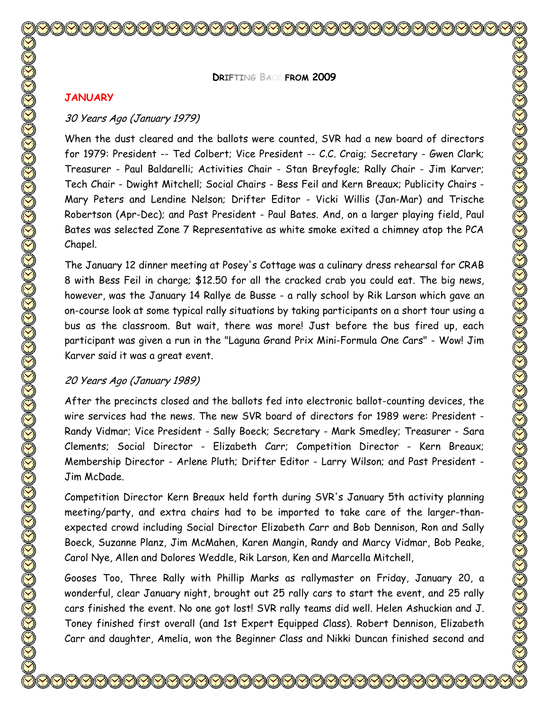**DRIFTING BACK FROM 2009**

#### **JANUARY**

## 30 Years Ago (January 1979)

When the dust cleared and the ballots were counted, SVR had a new board of directors for 1979: President -- Ted Colbert; Vice President -- C.C. Craig; Secretary - Gwen Clark; Treasurer - Paul Baldarelli; Activities Chair - Stan Breyfogle; Rally Chair - Jim Karver; Tech Chair - Dwight Mitchell; Social Chairs - Bess Feil and Kern Breaux; Publicity Chairs - Mary Peters and Lendine Nelson; Drifter Editor - Vicki Willis (Jan-Mar) and Trische Robertson (Apr-Dec); and Past President - Paul Bates. And, on a larger playing field, Paul Bates was selected Zone 7 Representative as white smoke exited a chimney atop the PCA Chapel.

The January 12 dinner meeting at Posey's Cottage was a culinary dress rehearsal for CRAB 8 with Bess Feil in charge; \$12.50 for all the cracked crab you could eat. The big news, however, was the January 14 Rallye de Busse - a rally school by Rik Larson which gave an on-course look at some typical rally situations by taking participants on a short tour using a bus as the classroom. But wait, there was more! Just before the bus fired up, each participant was given a run in the "Laguna Grand Prix Mini-Formula One Cars" - Wow! Jim Karver said it was a great event.

#### 20 Years Ago (January 1989)

After the precincts closed and the ballots fed into electronic ballot-counting devices, the wire services had the news. The new SVR board of directors for 1989 were: President - Randy Vidmar; Vice President - Sally Boeck; Secretary - Mark Smedley; Treasurer - Sara Clements; Social Director - Elizabeth Carr; Competition Director - Kern Breaux; Membership Director - Arlene Pluth; Drifter Editor - Larry Wilson; and Past President - Jim McDade.

Competition Director Kern Breaux held forth during SVR's January 5th activity planning meeting/party, and extra chairs had to be imported to take care of the larger-thanexpected crowd including Social Director Elizabeth Carr and Bob Dennison, Ron and Sally Boeck, Suzanne Planz, Jim McMahen, Karen Mangin, Randy and Marcy Vidmar, Bob Peake, Carol Nye, Allen and Dolores Weddle, Rik Larson, Ken and Marcella Mitchell,

Gooses Too, Three Rally with Phillip Marks as rallymaster on Friday, January 20, a wonderful, clear January night, brought out 25 rally cars to start the event, and 25 rally cars finished the event. No one got lost! SVR rally teams did well. Helen Ashuckian and J. Toney finished first overall (and 1st Expert Equipped Class). Robert Dennison, Elizabeth Carr and daughter, Amelia, won the Beginner Class and Nikki Duncan finished second and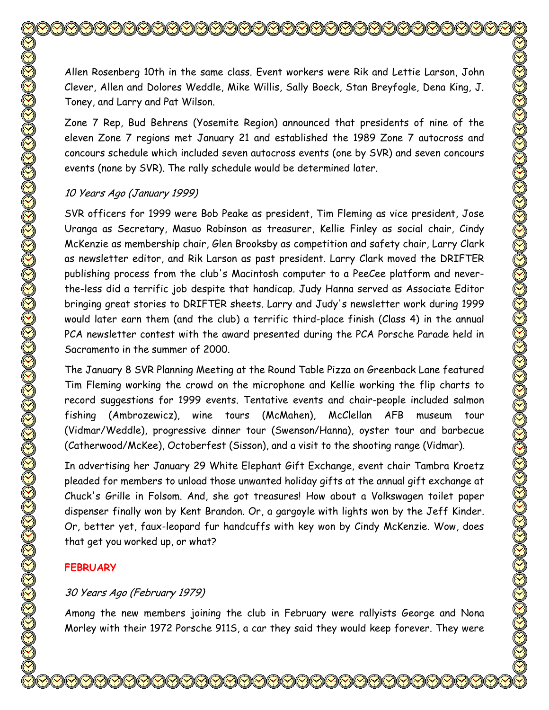Allen Rosenberg 10th in the same class. Event workers were Rik and Lettie Larson, John Clever, Allen and Dolores Weddle, Mike Willis, Sally Boeck, Stan Breyfogle, Dena King, J. Toney, and Larry and Pat Wilson.

Zone 7 Rep, Bud Behrens (Yosemite Region) announced that presidents of nine of the eleven Zone 7 regions met January 21 and established the 1989 Zone 7 autocross and concours schedule which included seven autocross events (one by SVR) and seven concours events (none by SVR). The rally schedule would be determined later.

## 10 Years Ago (January 1999)

SVR officers for 1999 were Bob Peake as president, Tim Fleming as vice president, Jose Uranga as Secretary, Masuo Robinson as treasurer, Kellie Finley as social chair, Cindy McKenzie as membership chair, Glen Brooksby as competition and safety chair, Larry Clark as newsletter editor, and Rik Larson as past president. Larry Clark moved the DRIFTER publishing process from the club's Macintosh computer to a PeeCee platform and neverthe-less did a terrific job despite that handicap. Judy Hanna served as Associate Editor bringing great stories to DRIFTER sheets. Larry and Judy's newsletter work during 1999 would later earn them (and the club) a terrific third-place finish (Class 4) in the annual PCA newsletter contest with the award presented during the PCA Porsche Parade held in Sacramento in the summer of 2000.

The January 8 SVR Planning Meeting at the Round Table Pizza on Greenback Lane featured Tim Fleming working the crowd on the microphone and Kellie working the flip charts to record suggestions for 1999 events. Tentative events and chair-people included salmon fishing (Ambrozewicz), wine tours (McMahen), McClellan AFB museum tour (Vidmar/Weddle), progressive dinner tour (Swenson/Hanna), oyster tour and barbecue (Catherwood/McKee), Octoberfest (Sisson), and a visit to the shooting range (Vidmar).

In advertising her January 29 White Elephant Gift Exchange, event chair Tambra Kroetz pleaded for members to unload those unwanted holiday gifts at the annual gift exchange at Chuck's Grille in Folsom. And, she got treasures! How about a Volkswagen toilet paper dispenser finally won by Kent Brandon. Or, a gargoyle with lights won by the Jeff Kinder. Or, better yet, faux-leopard fur handcuffs with key won by Cindy McKenzie. Wow, does that get you worked up, or what?

# **FEBRUARY**

# 30 Years Ago (February 1979)

Among the new members joining the club in February were rallyists George and Nona Morley with their 1972 Porsche 911S, a car they said they would keep forever. They were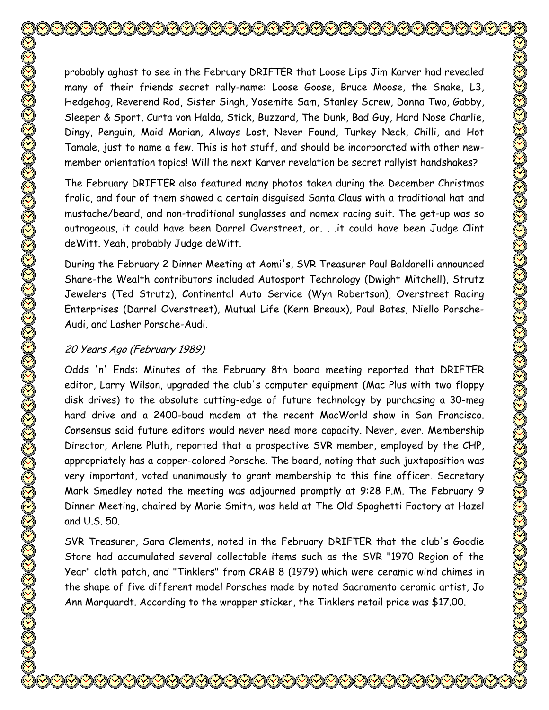probably aghast to see in the February DRIFTER that Loose Lips Jim Karver had revealed many of their friends secret rally-name: Loose Goose, Bruce Moose, the Snake, L3, Hedgehog, Reverend Rod, Sister Singh, Yosemite Sam, Stanley Screw, Donna Two, Gabby, Sleeper & Sport, Curta von Halda, Stick, Buzzard, The Dunk, Bad Guy, Hard Nose Charlie, Dingy, Penguin, Maid Marian, Always Lost, Never Found, Turkey Neck, Chilli, and Hot Tamale, just to name a few. This is hot stuff, and should be incorporated with other newmember orientation topics! Will the next Karver revelation be secret rallyist handshakes?

The February DRIFTER also featured many photos taken during the December Christmas frolic, and four of them showed a certain disguised Santa Claus with a traditional hat and mustache/beard, and non-traditional sunglasses and nomex racing suit. The get-up was so outrageous, it could have been Darrel Overstreet, or. . .it could have been Judge Clint deWitt. Yeah, probably Judge deWitt.

During the February 2 Dinner Meeting at Aomi's, SVR Treasurer Paul Baldarelli announced Share-the Wealth contributors included Autosport Technology (Dwight Mitchell), Strutz Jewelers (Ted Strutz), Continental Auto Service (Wyn Robertson), Overstreet Racing Enterprises (Darrel Overstreet), Mutual Life (Kern Breaux), Paul Bates, Niello Porsche-Audi, and Lasher Porsche-Audi.

## 20 Years Ago (February 1989)

Odds 'n' Ends: Minutes of the February 8th board meeting reported that DRIFTER editor, Larry Wilson, upgraded the club's computer equipment (Mac Plus with two floppy disk drives) to the absolute cutting-edge of future technology by purchasing a 30-meg hard drive and a 2400-baud modem at the recent MacWorld show in San Francisco. Consensus said future editors would never need more capacity. Never, ever. Membership Director, Arlene Pluth, reported that a prospective SVR member, employed by the CHP, appropriately has a copper-colored Porsche. The board, noting that such juxtaposition was very important, voted unanimously to grant membership to this fine officer. Secretary Mark Smedley noted the meeting was adjourned promptly at 9:28 P.M. The February 9 Dinner Meeting, chaired by Marie Smith, was held at The Old Spaghetti Factory at Hazel and U.S. 50.

SVR Treasurer, Sara Clements, noted in the February DRIFTER that the club's Goodie Store had accumulated several collectable items such as the SVR "1970 Region of the Year" cloth patch, and "Tinklers" from CRAB 8 (1979) which were ceramic wind chimes in the shape of five different model Porsches made by noted Sacramento ceramic artist, Jo Ann Marquardt. According to the wrapper sticker, the Tinklers retail price was \$17.00.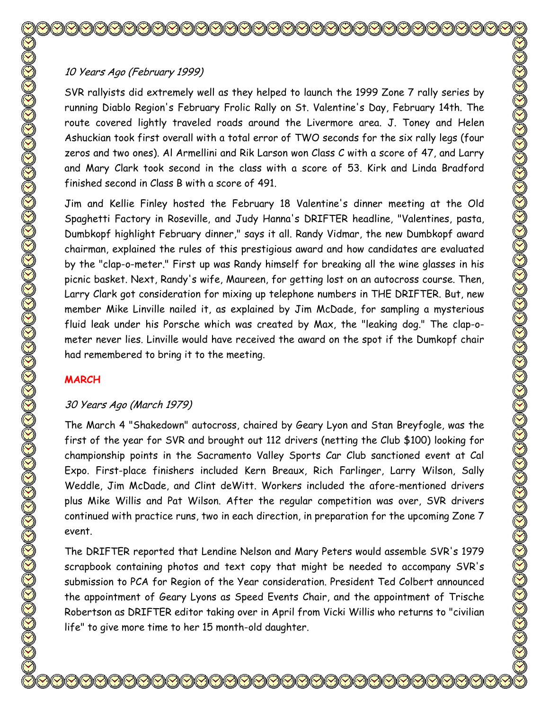# 10 Years Ago (February 1999)

SVR rallyists did extremely well as they helped to launch the 1999 Zone 7 rally series by running Diablo Region's February Frolic Rally on St. Valentine's Day, February 14th. The route covered lightly traveled roads around the Livermore area. J. Toney and Helen Ashuckian took first overall with a total error of TWO seconds for the six rally legs (four zeros and two ones). Al Armellini and Rik Larson won Class C with a score of 47, and Larry and Mary Clark took second in the class with a score of 53. Kirk and Linda Bradford finished second in Class B with a score of 491.

Jim and Kellie Finley hosted the February 18 Valentine's dinner meeting at the Old Spaghetti Factory in Roseville, and Judy Hanna's DRIFTER headline, "Valentines, pasta, Dumbkopf highlight February dinner," says it all. Randy Vidmar, the new Dumbkopf award chairman, explained the rules of this prestigious award and how candidates are evaluated by the "clap-o-meter." First up was Randy himself for breaking all the wine glasses in his picnic basket. Next, Randy's wife, Maureen, for getting lost on an autocross course. Then, Larry Clark got consideration for mixing up telephone numbers in THE DRIFTER. But, new member Mike Linville nailed it, as explained by Jim McDade, for sampling a mysterious fluid leak under his Porsche which was created by Max, the "leaking dog." The clap-ometer never lies. Linville would have received the award on the spot if the Dumkopf chair had remembered to bring it to the meeting.

# **MARCH**

# 30 Years Ago (March 1979)

The March 4 "Shakedown" autocross, chaired by Geary Lyon and Stan Breyfogle, was the first of the year for SVR and brought out 112 drivers (netting the Club \$100) looking for championship points in the Sacramento Valley Sports Car Club sanctioned event at Cal Expo. First-place finishers included Kern Breaux, Rich Farlinger, Larry Wilson, Sally Weddle, Jim McDade, and Clint deWitt. Workers included the afore-mentioned drivers plus Mike Willis and Pat Wilson. After the regular competition was over, SVR drivers continued with practice runs, two in each direction, in preparation for the upcoming Zone 7 event.

The DRIFTER reported that Lendine Nelson and Mary Peters would assemble SVR's 1979 scrapbook containing photos and text copy that might be needed to accompany SVR's submission to PCA for Region of the Year consideration. President Ted Colbert announced the appointment of Geary Lyons as Speed Events Chair, and the appointment of Trische Robertson as DRIFTER editor taking over in April from Vicki Willis who returns to "civilian life" to give more time to her 15 month-old daughter.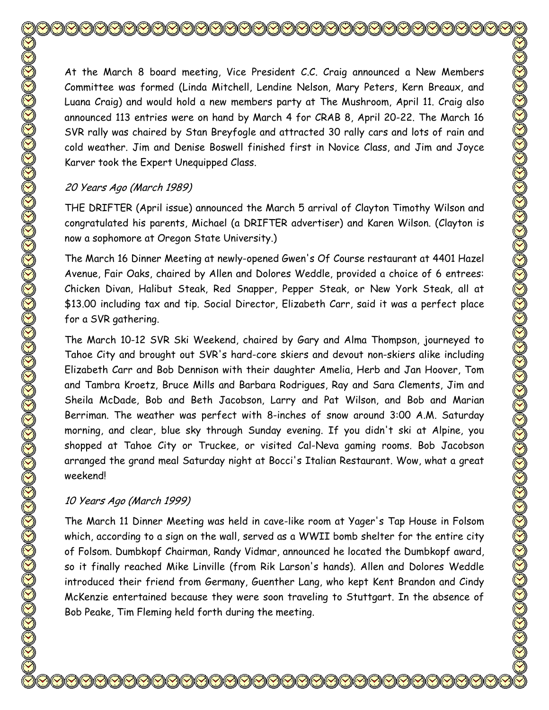At the March 8 board meeting, Vice President C.C. Craig announced a New Members Committee was formed (Linda Mitchell, Lendine Nelson, Mary Peters, Kern Breaux, and Luana Craig) and would hold a new members party at The Mushroom, April 11. Craig also announced 113 entries were on hand by March 4 for CRAB 8, April 20-22. The March 16 SVR rally was chaired by Stan Breyfogle and attracted 30 rally cars and lots of rain and cold weather. Jim and Denise Boswell finished first in Novice Class, and Jim and Joyce Karver took the Expert Unequipped Class.

#### 20 Years Ago (March 1989)

THE DRIFTER (April issue) announced the March 5 arrival of Clayton Timothy Wilson and congratulated his parents, Michael (a DRIFTER advertiser) and Karen Wilson. (Clayton is now a sophomore at Oregon State University.)

The March 16 Dinner Meeting at newly-opened Gwen's Of Course restaurant at 4401 Hazel Avenue, Fair Oaks, chaired by Allen and Dolores Weddle, provided a choice of 6 entrees: Chicken Divan, Halibut Steak, Red Snapper, Pepper Steak, or New York Steak, all at \$13.00 including tax and tip. Social Director, Elizabeth Carr, said it was a perfect place for a SVR gathering.

The March 10-12 SVR Ski Weekend, chaired by Gary and Alma Thompson, journeyed to Tahoe City and brought out SVR's hard-core skiers and devout non-skiers alike including Elizabeth Carr and Bob Dennison with their daughter Amelia, Herb and Jan Hoover, Tom and Tambra Kroetz, Bruce Mills and Barbara Rodrigues, Ray and Sara Clements, Jim and Sheila McDade, Bob and Beth Jacobson, Larry and Pat Wilson, and Bob and Marian Berriman. The weather was perfect with 8-inches of snow around 3:00 A.M. Saturday morning, and clear, blue sky through Sunday evening. If you didn't ski at Alpine, you shopped at Tahoe City or Truckee, or visited Cal-Neva gaming rooms. Bob Jacobson arranged the grand meal Saturday night at Bocci's Italian Restaurant. Wow, what a great weekend!

## 10 Years Ago (March 1999)

The March 11 Dinner Meeting was held in cave-like room at Yager's Tap House in Folsom which, according to a sign on the wall, served as a WWII bomb shelter for the entire city of Folsom. Dumbkopf Chairman, Randy Vidmar, announced he located the Dumbkopf award, so it finally reached Mike Linville (from Rik Larson's hands). Allen and Dolores Weddle introduced their friend from Germany, Guenther Lang, who kept Kent Brandon and Cindy McKenzie entertained because they were soon traveling to Stuttgart. In the absence of Bob Peake, Tim Fleming held forth during the meeting.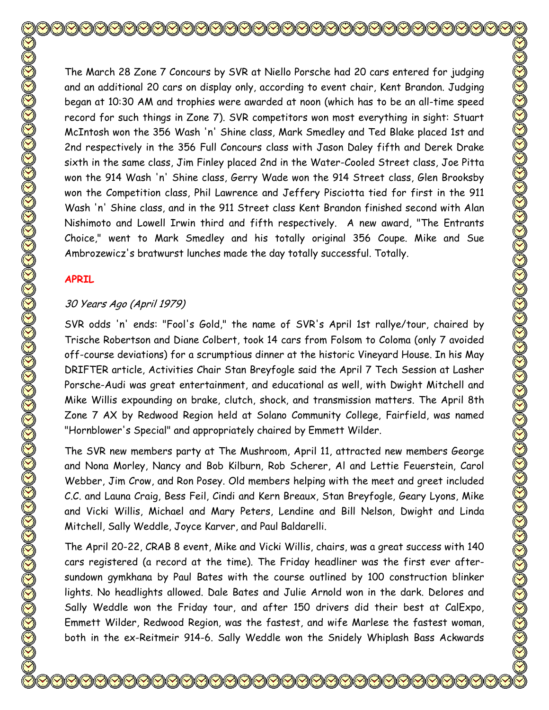The March 28 Zone 7 Concours by SVR at Niello Porsche had 20 cars entered for judging and an additional 20 cars on display only, according to event chair, Kent Brandon. Judging began at 10:30 AM and trophies were awarded at noon (which has to be an all-time speed record for such things in Zone 7). SVR competitors won most everything in sight: Stuart McIntosh won the 356 Wash 'n' Shine class, Mark Smedley and Ted Blake placed 1st and 2nd respectively in the 356 Full Concours class with Jason Daley fifth and Derek Drake sixth in the same class, Jim Finley placed 2nd in the Water-Cooled Street class, Joe Pitta won the 914 Wash 'n' Shine class, Gerry Wade won the 914 Street class, Glen Brooksby won the Competition class, Phil Lawrence and Jeffery Pisciotta tied for first in the 911 Wash 'n' Shine class, and in the 911 Street class Kent Brandon finished second with Alan Nishimoto and Lowell Irwin third and fifth respectively. A new award, "The Entrants Choice," went to Mark Smedley and his totally original 356 Coupe. Mike and Sue Ambrozewicz's bratwurst lunches made the day totally successful. Totally.

#### **APRIL**

## 30 Years Ago (April 1979)

SVR odds 'n' ends: "Fool's Gold," the name of SVR's April 1st rallye/tour, chaired by Trische Robertson and Diane Colbert, took 14 cars from Folsom to Coloma (only 7 avoided off-course deviations) for a scrumptious dinner at the historic Vineyard House. In his May DRIFTER article, Activities Chair Stan Breyfogle said the April 7 Tech Session at Lasher Porsche-Audi was great entertainment, and educational as well, with Dwight Mitchell and Mike Willis expounding on brake, clutch, shock, and transmission matters. The April 8th Zone 7 AX by Redwood Region held at Solano Community College, Fairfield, was named "Hornblower's Special" and appropriately chaired by Emmett Wilder.

The SVR new members party at The Mushroom, April 11, attracted new members George and Nona Morley, Nancy and Bob Kilburn, Rob Scherer, Al and Lettie Feuerstein, Carol Webber, Jim Crow, and Ron Posey. Old members helping with the meet and greet included C.C. and Launa Craig, Bess Feil, Cindi and Kern Breaux, Stan Breyfogle, Geary Lyons, Mike and Vicki Willis, Michael and Mary Peters, Lendine and Bill Nelson, Dwight and Linda Mitchell, Sally Weddle, Joyce Karver, and Paul Baldarelli.

The April 20-22, CRAB 8 event, Mike and Vicki Willis, chairs, was a great success with 140 cars registered (a record at the time). The Friday headliner was the first ever aftersundown gymkhana by Paul Bates with the course outlined by 100 construction blinker lights. No headlights allowed. Dale Bates and Julie Arnold won in the dark. Delores and Sally Weddle won the Friday tour, and after 150 drivers did their best at CalExpo, Emmett Wilder, Redwood Region, was the fastest, and wife Marlese the fastest woman, both in the ex-Reitmeir 914-6. Sally Weddle won the Snidely Whiplash Bass Ackwards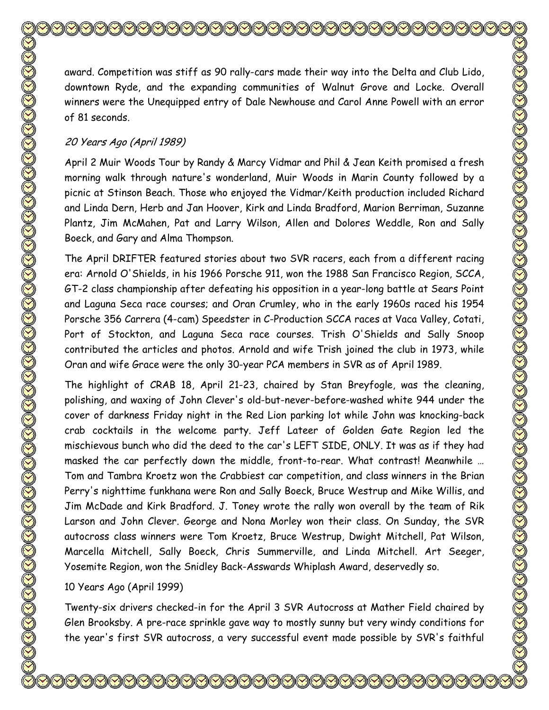award. Competition was stiff as 90 rally-cars made their way into the Delta and Club Lido, downtown Ryde, and the expanding communities of Walnut Grove and Locke. Overall winners were the Unequipped entry of Dale Newhouse and Carol Anne Powell with an error of 81 seconds.

#### 20 Years Ago (April 1989)

April 2 Muir Woods Tour by Randy & Marcy Vidmar and Phil & Jean Keith promised a fresh morning walk through nature's wonderland, Muir Woods in Marin County followed by a picnic at Stinson Beach. Those who enjoyed the Vidmar/Keith production included Richard and Linda Dern, Herb and Jan Hoover, Kirk and Linda Bradford, Marion Berriman, Suzanne Plantz, Jim McMahen, Pat and Larry Wilson, Allen and Dolores Weddle, Ron and Sally Boeck, and Gary and Alma Thompson.

The April DRIFTER featured stories about two SVR racers, each from a different racing era: Arnold O'Shields, in his 1966 Porsche 911, won the 1988 San Francisco Region, SCCA, GT-2 class championship after defeating his opposition in a year-long battle at Sears Point and Laguna Seca race courses; and Oran Crumley, who in the early 1960s raced his 1954 Porsche 356 Carrera (4-cam) Speedster in C-Production SCCA races at Vaca Valley, Cotati, Port of Stockton, and Laguna Seca race courses. Trish O'Shields and Sally Snoop contributed the articles and photos. Arnold and wife Trish joined the club in 1973, while Oran and wife Grace were the only 30-year PCA members in SVR as of April 1989.

The highlight of CRAB 18, April 21-23, chaired by Stan Breyfogle, was the cleaning, polishing, and waxing of John Clever's old-but-never-before-washed white 944 under the cover of darkness Friday night in the Red Lion parking lot while John was knocking-back crab cocktails in the welcome party. Jeff Lateer of Golden Gate Region led the mischievous bunch who did the deed to the car's LEFT SIDE, ONLY. It was as if they had masked the car perfectly down the middle, front-to-rear. What contrast! Meanwhile … Tom and Tambra Kroetz won the Crabbiest car competition, and class winners in the Brian Perry's nighttime funkhana were Ron and Sally Boeck, Bruce Westrup and Mike Willis, and Jim McDade and Kirk Bradford. J. Toney wrote the rally won overall by the team of Rik Larson and John Clever. George and Nona Morley won their class. On Sunday, the SVR autocross class winners were Tom Kroetz, Bruce Westrup, Dwight Mitchell, Pat Wilson, Marcella Mitchell, Sally Boeck, Chris Summerville, and Linda Mitchell. Art Seeger, Yosemite Region, won the Snidley Back-Asswards Whiplash Award, deservedly so.

#### 10 Years Ago (April 1999)

Twenty-six drivers checked-in for the April 3 SVR Autocross at Mather Field chaired by Glen Brooksby. A pre-race sprinkle gave way to mostly sunny but very windy conditions for the year's first SVR autocross, a very successful event made possible by SVR's faithful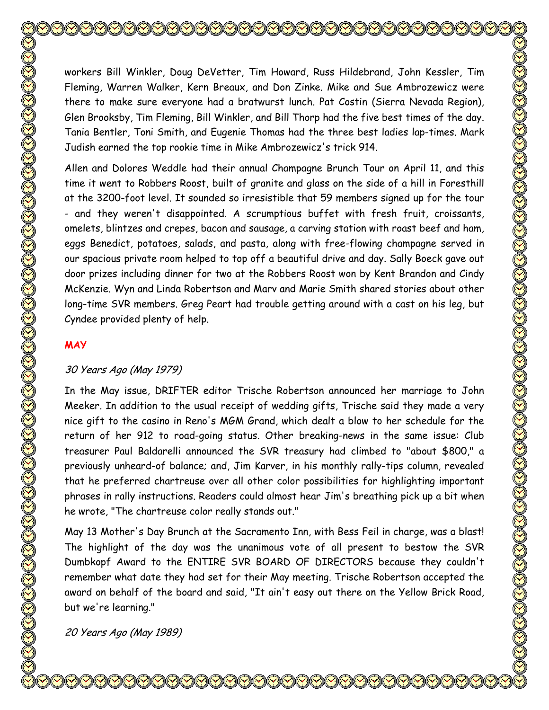workers Bill Winkler, Doug DeVetter, Tim Howard, Russ Hildebrand, John Kessler, Tim Fleming, Warren Walker, Kern Breaux, and Don Zinke. Mike and Sue Ambrozewicz were there to make sure everyone had a bratwurst lunch. Pat Costin (Sierra Nevada Region), Glen Brooksby, Tim Fleming, Bill Winkler, and Bill Thorp had the five best times of the day. Tania Bentler, Toni Smith, and Eugenie Thomas had the three best ladies lap-times. Mark Judish earned the top rookie time in Mike Ambrozewicz's trick 914. Allen and Dolores Weddle had their annual Champagne Brunch Tour on April 11, and this time it went to Robbers Roost, built of granite and glass on the side of a hill in Foresthill at the 3200-foot level. It sounded so irresistible that 59 members signed up for the tour - and they weren't disappointed. A scrumptious buffet with fresh fruit, croissants, omelets, blintzes and crepes, bacon and sausage, a carving station with roast beef and ham, eggs Benedict, potatoes, salads, and pasta, along with free-flowing champagne served in our spacious private room helped to top off a beautiful drive and day. Sally Boeck gave out door prizes including dinner for two at the Robbers Roost won by Kent Brandon and Cindy McKenzie. Wyn and Linda Robertson and Marv and Marie Smith shared stories about other long-time SVR members. Greg Peart had trouble getting around with a cast on his leg, but Cyndee provided plenty of help.

#### **MAY**

#### 30 Years Ago (May 1979)

In the May issue, DRIFTER editor Trische Robertson announced her marriage to John Meeker. In addition to the usual receipt of wedding gifts, Trische said they made a very nice gift to the casino in Reno's MGM Grand, which dealt a blow to her schedule for the return of her 912 to road-going status. Other breaking-news in the same issue: Club treasurer Paul Baldarelli announced the SVR treasury had climbed to "about \$800," a previously unheard-of balance; and, Jim Karver, in his monthly rally-tips column, revealed that he preferred chartreuse over all other color possibilities for highlighting important phrases in rally instructions. Readers could almost hear Jim's breathing pick up a bit when he wrote, "The chartreuse color really stands out."

May 13 Mother's Day Brunch at the Sacramento Inn, with Bess Feil in charge, was a blast! The highlight of the day was the unanimous vote of all present to bestow the SVR Dumbkopf Award to the ENTIRE SVR BOARD OF DIRECTORS because they couldn't remember what date they had set for their May meeting. Trische Robertson accepted the award on behalf of the board and said, "It ain't easy out there on the Yellow Brick Road, but we're learning."

20 Years Ago (May 1989)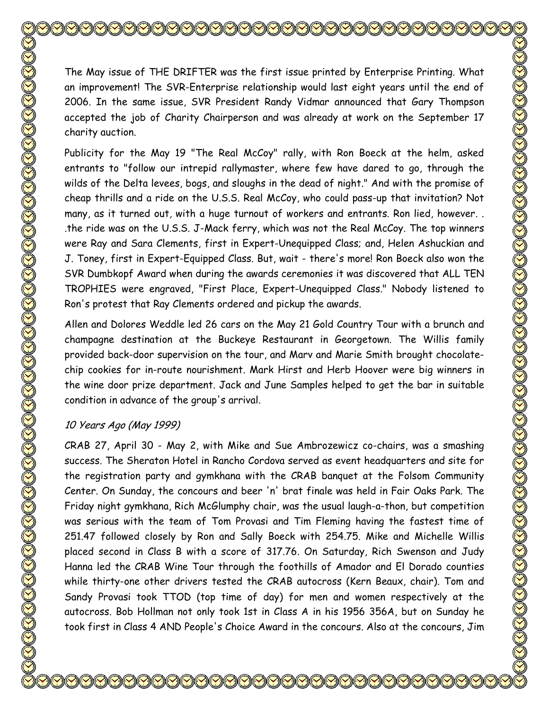The May issue of THE DRIFTER was the first issue printed by Enterprise Printing. What an improvement! The SVR-Enterprise relationship would last eight years until the end of 2006. In the same issue, SVR President Randy Vidmar announced that Gary Thompson accepted the job of Charity Chairperson and was already at work on the September 17 charity auction.

Publicity for the May 19 "The Real McCoy" rally, with Ron Boeck at the helm, asked entrants to "follow our intrepid rallymaster, where few have dared to go, through the wilds of the Delta levees, bogs, and sloughs in the dead of night." And with the promise of cheap thrills and a ride on the U.S.S. Real McCoy, who could pass-up that invitation? Not many, as it turned out, with a huge turnout of workers and entrants. Ron lied, however. . .the ride was on the U.S.S. J-Mack ferry, which was not the Real McCoy. The top winners were Ray and Sara Clements, first in Expert-Unequipped Class; and, Helen Ashuckian and J. Toney, first in Expert-Equipped Class. But, wait - there's more! Ron Boeck also won the SVR Dumbkopf Award when during the awards ceremonies it was discovered that ALL TEN TROPHIES were engraved, "First Place, Expert-Unequipped Class." Nobody listened to Ron's protest that Ray Clements ordered and pickup the awards.

Allen and Dolores Weddle led 26 cars on the May 21 Gold Country Tour with a brunch and champagne destination at the Buckeye Restaurant in Georgetown. The Willis family provided back-door supervision on the tour, and Marv and Marie Smith brought chocolatechip cookies for in-route nourishment. Mark Hirst and Herb Hoover were big winners in the wine door prize department. Jack and June Samples helped to get the bar in suitable condition in advance of the group's arrival.

# 10 Years Ago (May 1999)

CRAB 27, April 30 - May 2, with Mike and Sue Ambrozewicz co-chairs, was a smashing success. The Sheraton Hotel in Rancho Cordova served as event headquarters and site for the registration party and gymkhana with the CRAB banquet at the Folsom Community Center. On Sunday, the concours and beer 'n' brat finale was held in Fair Oaks Park. The Friday night gymkhana, Rich McGlumphy chair, was the usual laugh-a-thon, but competition was serious with the team of Tom Provasi and Tim Fleming having the fastest time of 251.47 followed closely by Ron and Sally Boeck with 254.75. Mike and Michelle Willis placed second in Class B with a score of 317.76. On Saturday, Rich Swenson and Judy Hanna led the CRAB Wine Tour through the foothills of Amador and El Dorado counties while thirty-one other drivers tested the CRAB autocross (Kern Beaux, chair). Tom and Sandy Provasi took TTOD (top time of day) for men and women respectively at the autocross. Bob Hollman not only took 1st in Class A in his 1956 356A, but on Sunday he took first in Class 4 AND People's Choice Award in the concours. Also at the concours, Jim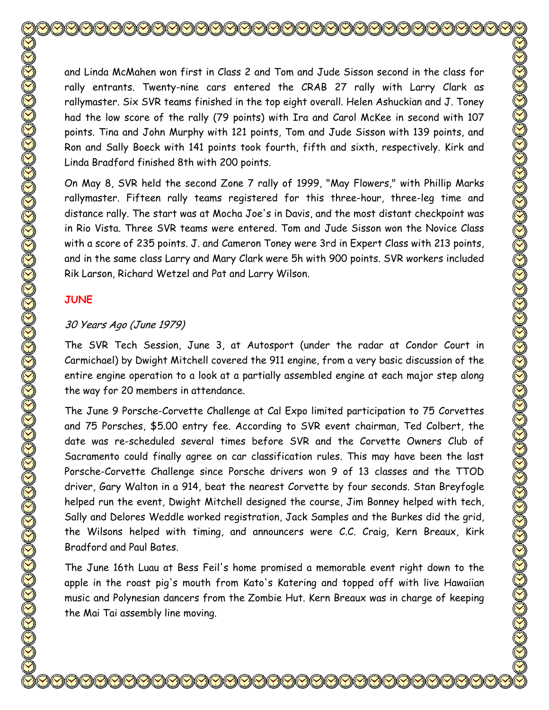and Linda McMahen won first in Class 2 and Tom and Jude Sisson second in the class for rally entrants. Twenty-nine cars entered the CRAB 27 rally with Larry Clark as rallymaster. Six SVR teams finished in the top eight overall. Helen Ashuckian and J. Toney had the low score of the rally (79 points) with Ira and Carol McKee in second with 107 points. Tina and John Murphy with 121 points, Tom and Jude Sisson with 139 points, and Ron and Sally Boeck with 141 points took fourth, fifth and sixth, respectively. Kirk and Linda Bradford finished 8th with 200 points.

On May 8, SVR held the second Zone 7 rally of 1999, "May Flowers," with Phillip Marks rallymaster. Fifteen rally teams registered for this three-hour, three-leg time and distance rally. The start was at Mocha Joe's in Davis, and the most distant checkpoint was in Rio Vista. Three SVR teams were entered. Tom and Jude Sisson won the Novice Class with a score of 235 points. J. and Cameron Toney were 3rd in Expert Class with 213 points, and in the same class Larry and Mary Clark were 5h with 900 points. SVR workers included Rik Larson, Richard Wetzel and Pat and Larry Wilson.

## **JUNE**

#### 30 Years Ago (June 1979)

The SVR Tech Session, June 3, at Autosport (under the radar at Condor Court in Carmichael) by Dwight Mitchell covered the 911 engine, from a very basic discussion of the entire engine operation to a look at a partially assembled engine at each major step along the way for 20 members in attendance.

The June 9 Porsche-Corvette Challenge at Cal Expo limited participation to 75 Corvettes and 75 Porsches, \$5.00 entry fee. According to SVR event chairman, Ted Colbert, the date was re-scheduled several times before SVR and the Corvette Owners Club of Sacramento could finally agree on car classification rules. This may have been the last Porsche-Corvette Challenge since Porsche drivers won 9 of 13 classes and the TTOD driver, Gary Walton in a 914, beat the nearest Corvette by four seconds. Stan Breyfogle helped run the event, Dwight Mitchell designed the course, Jim Bonney helped with tech, Sally and Delores Weddle worked registration, Jack Samples and the Burkes did the grid, the Wilsons helped with timing, and announcers were C.C. Craig, Kern Breaux, Kirk Bradford and Paul Bates.

The June 16th Luau at Bess Feil's home promised a memorable event right down to the apple in the roast pig's mouth from Kato's Katering and topped off with live Hawaiian music and Polynesian dancers from the Zombie Hut. Kern Breaux was in charge of keeping the Mai Tai assembly line moving.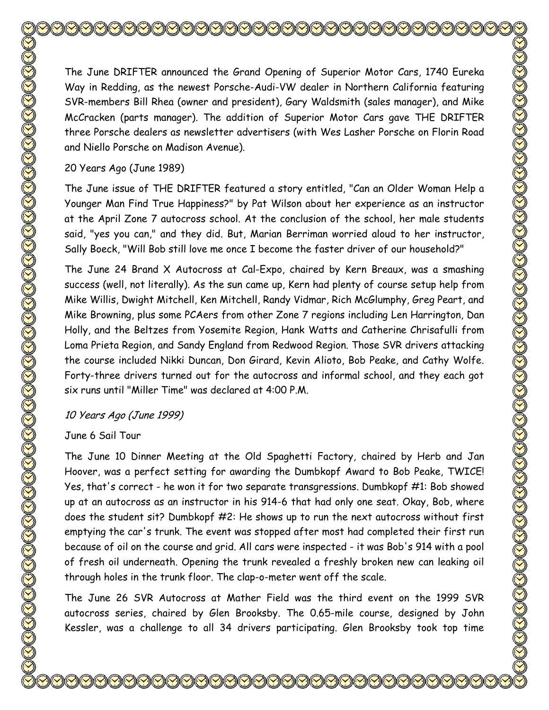The June DRIFTER announced the Grand Opening of Superior Motor Cars, 1740 Eureka Way in Redding, as the newest Porsche-Audi-VW dealer in Northern California featuring SVR-members Bill Rhea (owner and president), Gary Waldsmith (sales manager), and Mike McCracken (parts manager). The addition of Superior Motor Cars gave THE DRIFTER three Porsche dealers as newsletter advertisers (with Wes Lasher Porsche on Florin Road and Niello Porsche on Madison Avenue).

#### 20 Years Ago (June 1989)

The June issue of THE DRIFTER featured a story entitled, "Can an Older Woman Help a Younger Man Find True Happiness?" by Pat Wilson about her experience as an instructor at the April Zone 7 autocross school. At the conclusion of the school, her male students said, "yes you can," and they did. But, Marian Berriman worried aloud to her instructor, Sally Boeck, "Will Bob still love me once I become the faster driver of our household?"

The June 24 Brand X Autocross at Cal-Expo, chaired by Kern Breaux, was a smashing success (well, not literally). As the sun came up, Kern had plenty of course setup help from Mike Willis, Dwight Mitchell, Ken Mitchell, Randy Vidmar, Rich McGlumphy, Greg Peart, and Mike Browning, plus some PCAers from other Zone 7 regions including Len Harrington, Dan Holly, and the Beltzes from Yosemite Region, Hank Watts and Catherine Chrisafulli from Loma Prieta Region, and Sandy England from Redwood Region. Those SVR drivers attacking the course included Nikki Duncan, Don Girard, Kevin Alioto, Bob Peake, and Cathy Wolfe. Forty-three drivers turned out for the autocross and informal school, and they each got six runs until "Miller Time" was declared at 4:00 P.M.

#### 10 Years Ago (June 1999)

#### June 6 Sail Tour

The June 10 Dinner Meeting at the Old Spaghetti Factory, chaired by Herb and Jan Hoover, was a perfect setting for awarding the Dumbkopf Award to Bob Peake, TWICE! Yes, that's correct - he won it for two separate transgressions. Dumbkopf #1: Bob showed up at an autocross as an instructor in his 914-6 that had only one seat. Okay, Bob, where does the student sit? Dumbkopf #2: He shows up to run the next autocross without first emptying the car's trunk. The event was stopped after most had completed their first run because of oil on the course and grid. All cars were inspected - it was Bob's 914 with a pool of fresh oil underneath. Opening the trunk revealed a freshly broken new can leaking oil through holes in the trunk floor. The clap-o-meter went off the scale.

The June 26 SVR Autocross at Mather Field was the third event on the 1999 SVR autocross series, chaired by Glen Brooksby. The 0.65-mile course, designed by John Kessler, was a challenge to all 34 drivers participating. Glen Brooksby took top time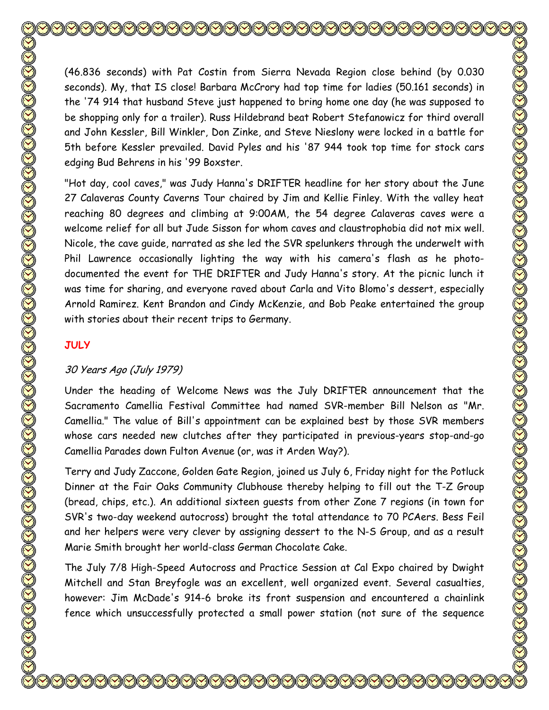**JULY**

(46.836 seconds) with Pat Costin from Sierra Nevada Region close behind (by 0.030 seconds). My, that IS close! Barbara McCrory had top time for ladies (50.161 seconds) in the '74 914 that husband Steve just happened to bring home one day (he was supposed to be shopping only for a trailer). Russ Hildebrand beat Robert Stefanowicz for third overall and John Kessler, Bill Winkler, Don Zinke, and Steve Nieslony were locked in a battle for 5th before Kessler prevailed. David Pyles and his '87 944 took top time for stock cars edging Bud Behrens in his '99 Boxster.

"Hot day, cool caves," was Judy Hanna's DRIFTER headline for her story about the June 27 Calaveras County Caverns Tour chaired by Jim and Kellie Finley. With the valley heat reaching 80 degrees and climbing at 9:00AM, the 54 degree Calaveras caves were a welcome relief for all but Jude Sisson for whom caves and claustrophobia did not mix well. Nicole, the cave guide, narrated as she led the SVR spelunkers through the underwelt with Phil Lawrence occasionally lighting the way with his camera's flash as he photodocumented the event for THE DRIFTER and Judy Hanna's story. At the picnic lunch it was time for sharing, and everyone raved about Carla and Vito Blomo's dessert, especially Arnold Ramirez. Kent Brandon and Cindy McKenzie, and Bob Peake entertained the group with stories about their recent trips to Germany.

# 30 Years Ago (July 1979)

Under the heading of Welcome News was the July DRIFTER announcement that the Sacramento Camellia Festival Committee had named SVR-member Bill Nelson as "Mr. Camellia." The value of Bill's appointment can be explained best by those SVR members whose cars needed new clutches after they participated in previous-years stop-and-go Camellia Parades down Fulton Avenue (or, was it Arden Way?).

Terry and Judy Zaccone, Golden Gate Region, joined us July 6, Friday night for the Potluck Dinner at the Fair Oaks Community Clubhouse thereby helping to fill out the T-Z Group (bread, chips, etc.). An additional sixteen guests from other Zone 7 regions (in town for SVR's two-day weekend autocross) brought the total attendance to 70 PCAers. Bess Feil and her helpers were very clever by assigning dessert to the N-S Group, and as a result Marie Smith brought her world-class German Chocolate Cake.

The July 7/8 High-Speed Autocross and Practice Session at Cal Expo chaired by Dwight Mitchell and Stan Breyfogle was an excellent, well organized event. Several casualties, however: Jim McDade's 914-6 broke its front suspension and encountered a chainlink fence which unsuccessfully protected a small power station (not sure of the sequence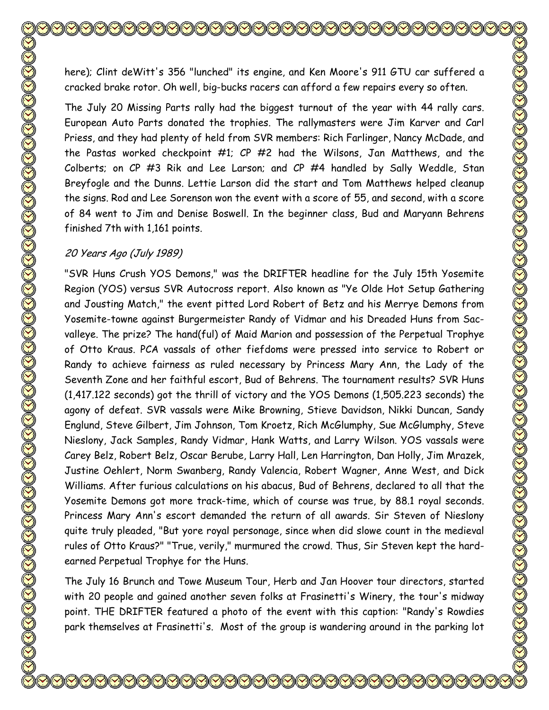here); Clint deWitt's 356 "lunched" its engine, and Ken Moore's 911 GTU car suffered a cracked brake rotor. Oh well, big-bucks racers can afford a few repairs every so often.

The July 20 Missing Parts rally had the biggest turnout of the year with 44 rally cars. European Auto Parts donated the trophies. The rallymasters were Jim Karver and Carl Priess, and they had plenty of held from SVR members: Rich Farlinger, Nancy McDade, and the Pastas worked checkpoint #1; CP #2 had the Wilsons, Jan Matthews, and the Colberts; on CP #3 Rik and Lee Larson; and CP #4 handled by Sally Weddle, Stan Breyfogle and the Dunns. Lettie Larson did the start and Tom Matthews helped cleanup the signs. Rod and Lee Sorenson won the event with a score of 55, and second, with a score of 84 went to Jim and Denise Boswell. In the beginner class, Bud and Maryann Behrens finished 7th with 1,161 points.

#### 20 Years Ago (July 1989)

"SVR Huns Crush YOS Demons," was the DRIFTER headline for the July 15th Yosemite Region (YOS) versus SVR Autocross report. Also known as "Ye Olde Hot Setup Gathering and Jousting Match," the event pitted Lord Robert of Betz and his Merrye Demons from Yosemite-towne against Burgermeister Randy of Vidmar and his Dreaded Huns from Sacvalleye. The prize? The hand(ful) of Maid Marion and possession of the Perpetual Trophye of Otto Kraus. PCA vassals of other fiefdoms were pressed into service to Robert or Randy to achieve fairness as ruled necessary by Princess Mary Ann, the Lady of the Seventh Zone and her faithful escort, Bud of Behrens. The tournament results? SVR Huns (1,417.122 seconds) got the thrill of victory and the YOS Demons (1,505.223 seconds) the agony of defeat. SVR vassals were Mike Browning, Stieve Davidson, Nikki Duncan, Sandy Englund, Steve Gilbert, Jim Johnson, Tom Kroetz, Rich McGlumphy, Sue McGlumphy, Steve Nieslony, Jack Samples, Randy Vidmar, Hank Watts, and Larry Wilson. YOS vassals were Carey Belz, Robert Belz, Oscar Berube, Larry Hall, Len Harrington, Dan Holly, Jim Mrazek, Justine Oehlert, Norm Swanberg, Randy Valencia, Robert Wagner, Anne West, and Dick Williams. After furious calculations on his abacus, Bud of Behrens, declared to all that the Yosemite Demons got more track-time, which of course was true, by 88.1 royal seconds. Princess Mary Ann's escort demanded the return of all awards. Sir Steven of Nieslony quite truly pleaded, "But yore royal personage, since when did slowe count in the medieval rules of Otto Kraus?" "True, verily," murmured the crowd. Thus, Sir Steven kept the hardearned Perpetual Trophye for the Huns.

The July 16 Brunch and Towe Museum Tour, Herb and Jan Hoover tour directors, started with 20 people and gained another seven folks at Frasinetti's Winery, the tour's midway point. THE DRIFTER featured a photo of the event with this caption: "Randy's Rowdies park themselves at Frasinetti's. Most of the group is wandering around in the parking lot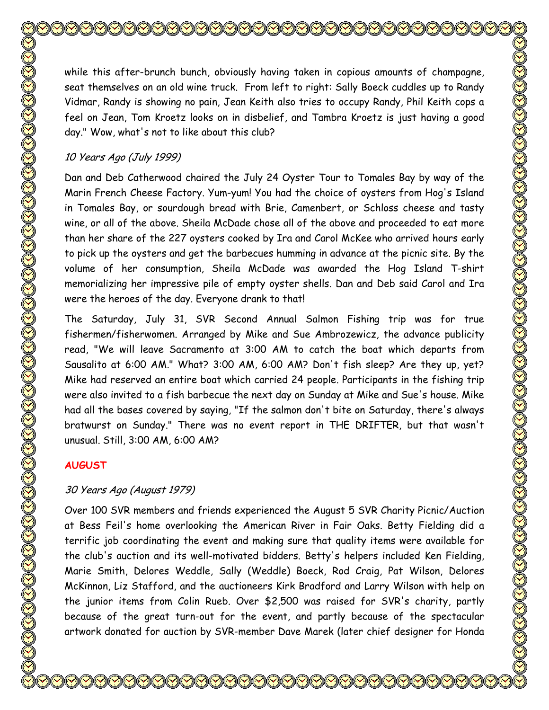while this after-brunch bunch, obviously having taken in copious amounts of champagne, seat themselves on an old wine truck. From left to right: Sally Boeck cuddles up to Randy Vidmar, Randy is showing no pain, Jean Keith also tries to occupy Randy, Phil Keith cops a feel on Jean, Tom Kroetz looks on in disbelief, and Tambra Kroetz is just having a good day." Wow, what's not to like about this club?

#### 10 Years Ago (July 1999)

Dan and Deb Catherwood chaired the July 24 Oyster Tour to Tomales Bay by way of the Marin French Cheese Factory. Yum-yum! You had the choice of oysters from Hog's Island in Tomales Bay, or sourdough bread with Brie, Camenbert, or Schloss cheese and tasty wine, or all of the above. Sheila McDade chose all of the above and proceeded to eat more than her share of the 227 oysters cooked by Ira and Carol McKee who arrived hours early to pick up the oysters and get the barbecues humming in advance at the picnic site. By the volume of her consumption, Sheila McDade was awarded the Hog Island T-shirt memorializing her impressive pile of empty oyster shells. Dan and Deb said Carol and Ira were the heroes of the day. Everyone drank to that!

The Saturday, July 31, SVR Second Annual Salmon Fishing trip was for true fishermen/fisherwomen. Arranged by Mike and Sue Ambrozewicz, the advance publicity read, "We will leave Sacramento at 3:00 AM to catch the boat which departs from Sausalito at 6:00 AM." What? 3:00 AM, 6:00 AM? Don't fish sleep? Are they up, yet? Mike had reserved an entire boat which carried 24 people. Participants in the fishing trip were also invited to a fish barbecue the next day on Sunday at Mike and Sue's house. Mike had all the bases covered by saying, "If the salmon don't bite on Saturday, there's always bratwurst on Sunday." There was no event report in THE DRIFTER, but that wasn't unusual. Still, 3:00 AM, 6:00 AM?

#### **AUGUST**

## 30 Years Ago (August 1979)

Over 100 SVR members and friends experienced the August 5 SVR Charity Picnic/Auction at Bess Feil's home overlooking the American River in Fair Oaks. Betty Fielding did a terrific job coordinating the event and making sure that quality items were available for the club's auction and its well-motivated bidders. Betty's helpers included Ken Fielding, Marie Smith, Delores Weddle, Sally (Weddle) Boeck, Rod Craig, Pat Wilson, Delores McKinnon, Liz Stafford, and the auctioneers Kirk Bradford and Larry Wilson with help on the junior items from Colin Rueb. Over \$2,500 was raised for SVR's charity, partly because of the great turn-out for the event, and partly because of the spectacular artwork donated for auction by SVR-member Dave Marek (later chief designer for Honda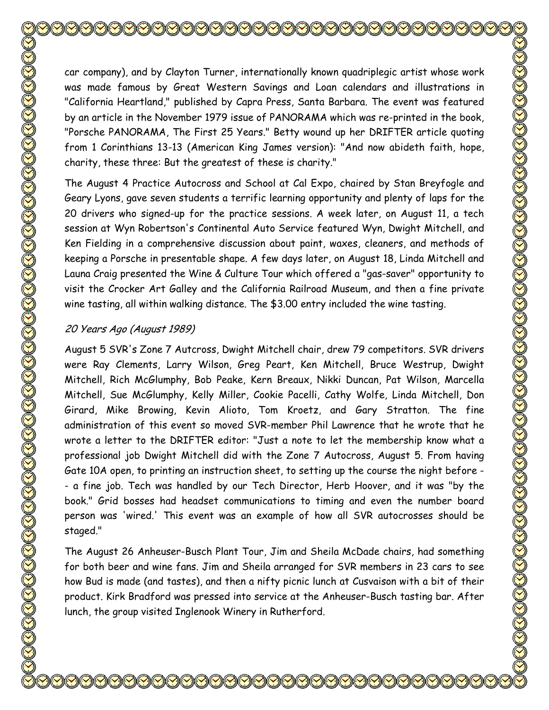car company), and by Clayton Turner, internationally known quadriplegic artist whose work was made famous by Great Western Savings and Loan calendars and illustrations in "California Heartland," published by Capra Press, Santa Barbara. The event was featured by an article in the November 1979 issue of PANORAMA which was re-printed in the book, "Porsche PANORAMA, The First 25 Years." Betty wound up her DRIFTER article quoting from 1 Corinthians 13-13 (American King James version): "And now abideth faith, hope, charity, these three: But the greatest of these is charity."

The August 4 Practice Autocross and School at Cal Expo, chaired by Stan Breyfogle and Geary Lyons, gave seven students a terrific learning opportunity and plenty of laps for the 20 drivers who signed-up for the practice sessions. A week later, on August 11, a tech session at Wyn Robertson's Continental Auto Service featured Wyn, Dwight Mitchell, and Ken Fielding in a comprehensive discussion about paint, waxes, cleaners, and methods of keeping a Porsche in presentable shape. A few days later, on August 18, Linda Mitchell and Launa Craig presented the Wine & Culture Tour which offered a "gas-saver" opportunity to visit the Crocker Art Galley and the California Railroad Museum, and then a fine private wine tasting, all within walking distance. The \$3.00 entry included the wine tasting.

#### 20 Years Ago (August 1989)

August 5 SVR's Zone 7 Autcross, Dwight Mitchell chair, drew 79 competitors. SVR drivers were Ray Clements, Larry Wilson, Greg Peart, Ken Mitchell, Bruce Westrup, Dwight Mitchell, Rich McGlumphy, Bob Peake, Kern Breaux, Nikki Duncan, Pat Wilson, Marcella Mitchell, Sue McGlumphy, Kelly Miller, Cookie Pacelli, Cathy Wolfe, Linda Mitchell, Don Girard, Mike Browing, Kevin Alioto, Tom Kroetz, and Gary Stratton. The fine administration of this event so moved SVR-member Phil Lawrence that he wrote that he wrote a letter to the DRIFTER editor: "Just a note to let the membership know what a professional job Dwight Mitchell did with the Zone 7 Autocross, August 5. From having Gate 10A open, to printing an instruction sheet, to setting up the course the night before - - a fine job. Tech was handled by our Tech Director, Herb Hoover, and it was "by the book." Grid bosses had headset communications to timing and even the number board person was 'wired.' This event was an example of how all SVR autocrosses should be staged."

The August 26 Anheuser-Busch Plant Tour, Jim and Sheila McDade chairs, had something for both beer and wine fans. Jim and Sheila arranged for SVR members in 23 cars to see how Bud is made (and tastes), and then a nifty picnic lunch at Cusvaison with a bit of their product. Kirk Bradford was pressed into service at the Anheuser-Busch tasting bar. After lunch, the group visited Inglenook Winery in Rutherford.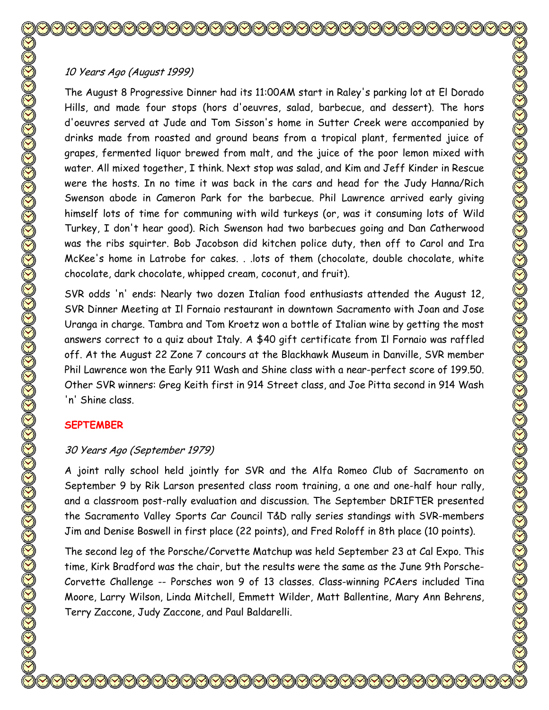# 10 Years Ago (August 1999)

The August 8 Progressive Dinner had its 11:00AM start in Raley's parking lot at El Dorado Hills, and made four stops (hors d'oeuvres, salad, barbecue, and dessert). The hors d'oeuvres served at Jude and Tom Sisson's home in Sutter Creek were accompanied by drinks made from roasted and ground beans from a tropical plant, fermented juice of grapes, fermented liquor brewed from malt, and the juice of the poor lemon mixed with water. All mixed together, I think. Next stop was salad, and Kim and Jeff Kinder in Rescue were the hosts. In no time it was back in the cars and head for the Judy Hanna/Rich Swenson abode in Cameron Park for the barbecue. Phil Lawrence arrived early giving himself lots of time for communing with wild turkeys (or, was it consuming lots of Wild Turkey, I don't hear good). Rich Swenson had two barbecues going and Dan Catherwood was the ribs squirter. Bob Jacobson did kitchen police duty, then off to Carol and Ira McKee's home in Latrobe for cakes. . .lots of them (chocolate, double chocolate, white chocolate, dark chocolate, whipped cream, coconut, and fruit).

SVR odds 'n' ends: Nearly two dozen Italian food enthusiasts attended the August 12, SVR Dinner Meeting at Il Fornaio restaurant in downtown Sacramento with Joan and Jose Uranga in charge. Tambra and Tom Kroetz won a bottle of Italian wine by getting the most answers correct to a quiz about Italy. A \$40 gift certificate from Il Fornaio was raffled off. At the August 22 Zone 7 concours at the Blackhawk Museum in Danville, SVR member Phil Lawrence won the Early 911 Wash and Shine class with a near-perfect score of 199.50. Other SVR winners: Greg Keith first in 914 Street class, and Joe Pitta second in 914 Wash 'n' Shine class.

# **SEPTEMBER**

# 30 Years Ago (September 1979)

A joint rally school held jointly for SVR and the Alfa Romeo Club of Sacramento on September 9 by Rik Larson presented class room training, a one and one-half hour rally, and a classroom post-rally evaluation and discussion. The September DRIFTER presented the Sacramento Valley Sports Car Council T&D rally series standings with SVR-members Jim and Denise Boswell in first place (22 points), and Fred Roloff in 8th place (10 points).

The second leg of the Porsche/Corvette Matchup was held September 23 at Cal Expo. This time, Kirk Bradford was the chair, but the results were the same as the June 9th Porsche-Corvette Challenge -- Porsches won 9 of 13 classes. Class-winning PCAers included Tina Moore, Larry Wilson, Linda Mitchell, Emmett Wilder, Matt Ballentine, Mary Ann Behrens, Terry Zaccone, Judy Zaccone, and Paul Baldarelli.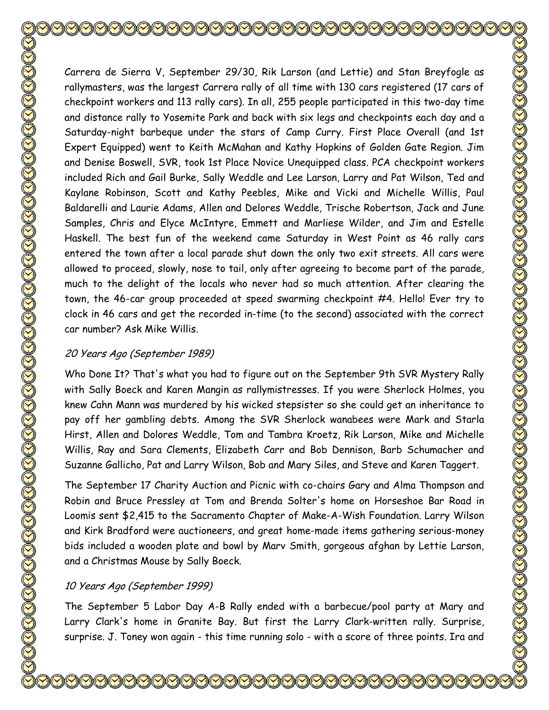Carrera de Sierra V, September 29/30, Rik Larson (and Lettie) and Stan Breyfogle as rallymasters, was the largest Carrera rally of all time with 130 cars registered (17 cars of checkpoint workers and 113 rally cars). In all, 255 people participated in this two-day time and distance rally to Yosemite Park and back with six legs and checkpoints each day and a Saturday-night barbeque under the stars of Camp Curry. First Place Overall (and 1st Expert Equipped) went to Keith McMahan and Kathy Hopkins of Golden Gate Region. Jim and Denise Boswell, SVR, took 1st Place Novice Unequipped class. PCA checkpoint workers included Rich and Gail Burke, Sally Weddle and Lee Larson, Larry and Pat Wilson, Ted and Kaylane Robinson, Scott and Kathy Peebles, Mike and Vicki and Michelle Willis, Paul Baldarelli and Laurie Adams, Allen and Delores Weddle, Trische Robertson, Jack and June Samples, Chris and Elyce McIntyre, Emmett and Marliese Wilder, and Jim and Estelle Haskell. The best fun of the weekend came Saturday in West Point as 46 rally cars entered the town after a local parade shut down the only two exit streets. All cars were allowed to proceed, slowly, nose to tail, only after agreeing to become part of the parade, much to the delight of the locals who never had so much attention. After clearing the town, the 46-car group proceeded at speed swarming checkpoint #4. Hello! Ever try to clock in 46 cars and get the recorded in-time (to the second) associated with the correct car number? Ask Mike Willis.

#### 20 Years Ago (September 1989)

Who Done It? That's what you had to figure out on the September 9th SVR Mystery Rally with Sally Boeck and Karen Mangin as rallymistresses. If you were Sherlock Holmes, you knew Cahn Mann was murdered by his wicked stepsister so she could get an inheritance to pay off her gambling debts. Among the SVR Sherlock wanabees were Mark and Starla Hirst, Allen and Dolores Weddle, Tom and Tambra Kroetz, Rik Larson, Mike and Michelle Willis, Ray and Sara Clements, Elizabeth Carr and Bob Dennison, Barb Schumacher and Suzanne Gallicho, Pat and Larry Wilson, Bob and Mary Siles, and Steve and Karen Taggert.

The September 17 Charity Auction and Picnic with co-chairs Gary and Alma Thompson and Robin and Bruce Pressley at Tom and Brenda Solter's home on Horseshoe Bar Road in Loomis sent \$2,415 to the Sacramento Chapter of Make-A-Wish Foundation. Larry Wilson and Kirk Bradford were auctioneers, and great home-made items gathering serious-money bids included a wooden plate and bowl by Marv Smith, gorgeous afghan by Lettie Larson, and a Christmas Mouse by Sally Boeck.

## 10 Years Ago (September 1999)

The September 5 Labor Day A-B Rally ended with a barbecue/pool party at Mary and Larry Clark's home in Granite Bay. But first the Larry Clark-written rally. Surprise, surprise. J. Toney won again - this time running solo - with a score of three points. Ira and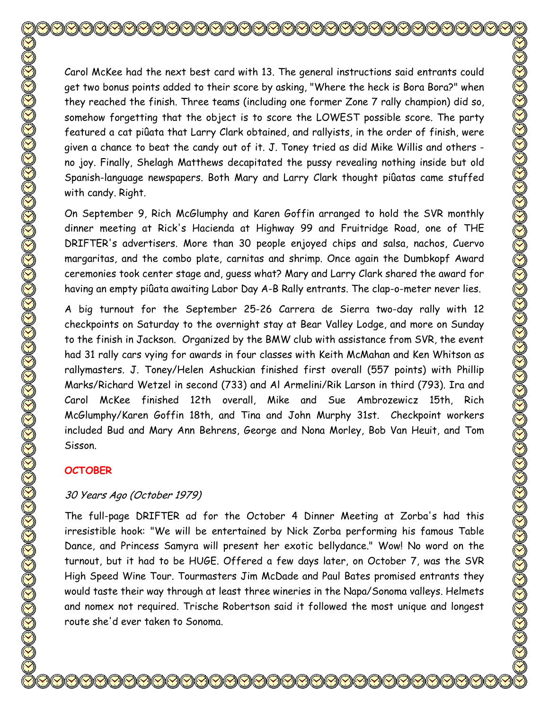Carol McKee had the next best card with 13. The general instructions said entrants could get two bonus points added to their score by asking, "Where the heck is Bora Bora?" when they reached the finish. Three teams (including one former Zone 7 rally champion) did so, somehow forgetting that the object is to score the LOWEST possible score. The party featured a cat piûata that Larry Clark obtained, and rallyists, in the order of finish, were given a chance to beat the candy out of it. J. Toney tried as did Mike Willis and others no joy. Finally, Shelagh Matthews decapitated the pussy revealing nothing inside but old Spanish-language newspapers. Both Mary and Larry Clark thought piûatas came stuffed with candy. Right. On September 9, Rich McGlumphy and Karen Goffin arranged to hold the SVR monthly

dinner meeting at Rick's Hacienda at Highway 99 and Fruitridge Road, one of THE DRIFTER's advertisers. More than 30 people enjoyed chips and salsa, nachos, Cuervo margaritas, and the combo plate, carnitas and shrimp. Once again the Dumbkopf Award ceremonies took center stage and, guess what? Mary and Larry Clark shared the award for having an empty piûata awaiting Labor Day A-B Rally entrants. The clap-o-meter never lies.

A big turnout for the September 25-26 Carrera de Sierra two-day rally with 12 checkpoints on Saturday to the overnight stay at Bear Valley Lodge, and more on Sunday to the finish in Jackson. Organized by the BMW club with assistance from SVR, the event had 31 rally cars vying for awards in four classes with Keith McMahan and Ken Whitson as rallymasters. J. Toney/Helen Ashuckian finished first overall (557 points) with Phillip Marks/Richard Wetzel in second (733) and Al Armelini/Rik Larson in third (793). Ira and Carol McKee finished 12th overall, Mike and Sue Ambrozewicz 15th, Rich McGlumphy/Karen Goffin 18th, and Tina and John Murphy 31st. Checkpoint workers included Bud and Mary Ann Behrens, George and Nona Morley, Bob Van Heuit, and Tom Sisson.

#### **OCTOBER**

#### 30 Years Ago (October 1979)

The full-page DRIFTER ad for the October 4 Dinner Meeting at Zorba's had this irresistible hook: "We will be entertained by Nick Zorba performing his famous Table Dance, and Princess Samyra will present her exotic bellydance." Wow! No word on the turnout, but it had to be HUGE. Offered a few days later, on October 7, was the SVR High Speed Wine Tour. Tourmasters Jim McDade and Paul Bates promised entrants they would taste their way through at least three wineries in the Napa/Sonoma valleys. Helmets and nomex not required. Trische Robertson said it followed the most unique and longest route she'd ever taken to Sonoma.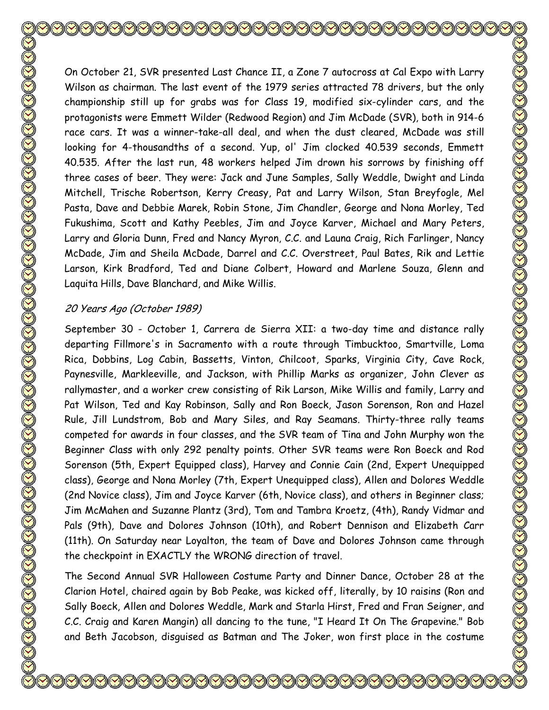On October 21, SVR presented Last Chance II, a Zone 7 autocross at Cal Expo with Larry Wilson as chairman. The last event of the 1979 series attracted 78 drivers, but the only championship still up for grabs was for Class 19, modified six-cylinder cars, and the protagonists were Emmett Wilder (Redwood Region) and Jim McDade (SVR), both in 914-6 race cars. It was a winner-take-all deal, and when the dust cleared, McDade was still looking for 4-thousandths of a second. Yup, ol' Jim clocked 40.539 seconds, Emmett 40.535. After the last run, 48 workers helped Jim drown his sorrows by finishing off three cases of beer. They were: Jack and June Samples, Sally Weddle, Dwight and Linda Mitchell, Trische Robertson, Kerry Creasy, Pat and Larry Wilson, Stan Breyfogle, Mel Pasta, Dave and Debbie Marek, Robin Stone, Jim Chandler, George and Nona Morley, Ted Fukushima, Scott and Kathy Peebles, Jim and Joyce Karver, Michael and Mary Peters, Larry and Gloria Dunn, Fred and Nancy Myron, C.C. and Launa Craig, Rich Farlinger, Nancy McDade, Jim and Sheila McDade, Darrel and C.C. Overstreet, Paul Bates, Rik and Lettie Larson, Kirk Bradford, Ted and Diane Colbert, Howard and Marlene Souza, Glenn and Laquita Hills, Dave Blanchard, and Mike Willis.

## 20 Years Ago (October 1989)

September 30 - October 1, Carrera de Sierra XII: a two-day time and distance rally departing Fillmore's in Sacramento with a route through Timbucktoo, Smartville, Loma Rica, Dobbins, Log Cabin, Bassetts, Vinton, Chilcoot, Sparks, Virginia City, Cave Rock, Paynesville, Markleeville, and Jackson, with Phillip Marks as organizer, John Clever as rallymaster, and a worker crew consisting of Rik Larson, Mike Willis and family, Larry and Pat Wilson, Ted and Kay Robinson, Sally and Ron Boeck, Jason Sorenson, Ron and Hazel Rule, Jill Lundstrom, Bob and Mary Siles, and Ray Seamans. Thirty-three rally teams competed for awards in four classes, and the SVR team of Tina and John Murphy won the Beginner Class with only 292 penalty points. Other SVR teams were Ron Boeck and Rod Sorenson (5th, Expert Equipped class), Harvey and Connie Cain (2nd, Expert Unequipped class), George and Nona Morley (7th, Expert Unequipped class), Allen and Dolores Weddle (2nd Novice class), Jim and Joyce Karver (6th, Novice class), and others in Beginner class; Jim McMahen and Suzanne Plantz (3rd), Tom and Tambra Kroetz, (4th), Randy Vidmar and Pals (9th), Dave and Dolores Johnson (10th), and Robert Dennison and Elizabeth Carr (11th). On Saturday near Loyalton, the team of Dave and Dolores Johnson came through the checkpoint in EXACTLY the WRONG direction of travel.

The Second Annual SVR Halloween Costume Party and Dinner Dance, October 28 at the Clarion Hotel, chaired again by Bob Peake, was kicked off, literally, by 10 raisins (Ron and Sally Boeck, Allen and Dolores Weddle, Mark and Starla Hirst, Fred and Fran Seigner, and C.C. Craig and Karen Mangin) all dancing to the tune, "I Heard It On The Grapevine." Bob and Beth Jacobson, disguised as Batman and The Joker, won first place in the costume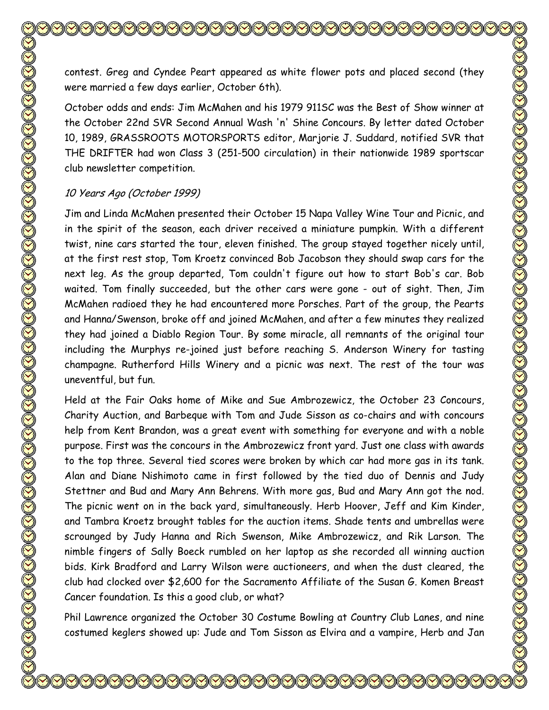contest. Greg and Cyndee Peart appeared as white flower pots and placed second (they were married a few days earlier, October 6th). October odds and ends: Jim McMahen and his 1979 911SC was the Best of Show winner at the October 22nd SVR Second Annual Wash 'n' Shine Concours. By letter dated October 10, 1989, GRASSROOTS MOTORSPORTS editor, Marjorie J. Suddard, notified SVR that THE DRIFTER had won Class 3 (251-500 circulation) in their nationwide 1989 sportscar club newsletter competition. 10 Years Ago (October 1999)

Jim and Linda McMahen presented their October 15 Napa Valley Wine Tour and Picnic, and in the spirit of the season, each driver received a miniature pumpkin. With a different twist, nine cars started the tour, eleven finished. The group stayed together nicely until, at the first rest stop, Tom Kroetz convinced Bob Jacobson they should swap cars for the next leg. As the group departed, Tom couldn't figure out how to start Bob's car. Bob waited. Tom finally succeeded, but the other cars were gone - out of sight. Then, Jim McMahen radioed they he had encountered more Porsches. Part of the group, the Pearts and Hanna/Swenson, broke off and joined McMahen, and after a few minutes they realized they had joined a Diablo Region Tour. By some miracle, all remnants of the original tour including the Murphys re-joined just before reaching S. Anderson Winery for tasting champagne. Rutherford Hills Winery and a picnic was next. The rest of the tour was uneventful, but fun.

Held at the Fair Oaks home of Mike and Sue Ambrozewicz, the October 23 Concours, Charity Auction, and Barbeque with Tom and Jude Sisson as co-chairs and with concours help from Kent Brandon, was a great event with something for everyone and with a noble purpose. First was the concours in the Ambrozewicz front yard. Just one class with awards to the top three. Several tied scores were broken by which car had more gas in its tank. Alan and Diane Nishimoto came in first followed by the tied duo of Dennis and Judy Stettner and Bud and Mary Ann Behrens. With more gas, Bud and Mary Ann got the nod. The picnic went on in the back yard, simultaneously. Herb Hoover, Jeff and Kim Kinder, and Tambra Kroetz brought tables for the auction items. Shade tents and umbrellas were scrounged by Judy Hanna and Rich Swenson, Mike Ambrozewicz, and Rik Larson. The nimble fingers of Sally Boeck rumbled on her laptop as she recorded all winning auction bids. Kirk Bradford and Larry Wilson were auctioneers, and when the dust cleared, the club had clocked over \$2,600 for the Sacramento Affiliate of the Susan G. Komen Breast Cancer foundation. Is this a good club, or what?

Phil Lawrence organized the October 30 Costume Bowling at Country Club Lanes, and nine costumed keglers showed up: Jude and Tom Sisson as Elvira and a vampire, Herb and Jan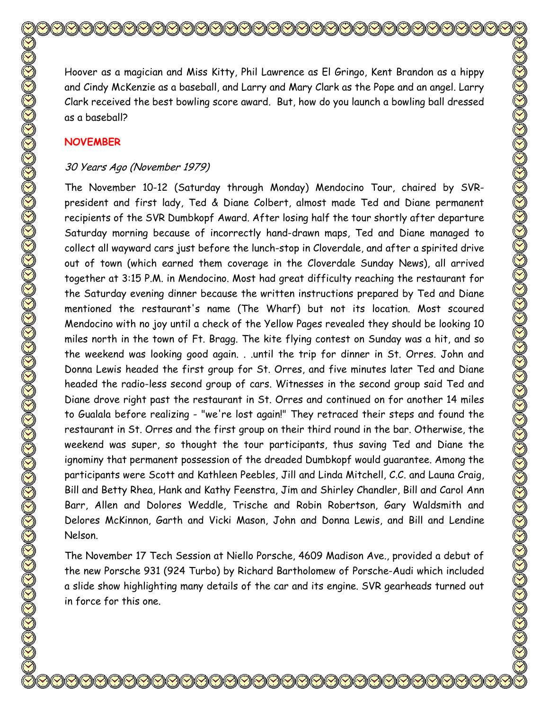Hoover as a magician and Miss Kitty, Phil Lawrence as El Gringo, Kent Brandon as a hippy and Cindy McKenzie as a baseball, and Larry and Mary Clark as the Pope and an angel. Larry Clark received the best bowling score award. But, how do you launch a bowling ball dressed as a baseball?

#### **NOVEMBER**

#### 30 Years Ago (November 1979)

The November 10-12 (Saturday through Monday) Mendocino Tour, chaired by SVRpresident and first lady, Ted & Diane Colbert, almost made Ted and Diane permanent recipients of the SVR Dumbkopf Award. After losing half the tour shortly after departure Saturday morning because of incorrectly hand-drawn maps, Ted and Diane managed to collect all wayward cars just before the lunch-stop in Cloverdale, and after a spirited drive out of town (which earned them coverage in the Cloverdale Sunday News), all arrived together at 3:15 P.M. in Mendocino. Most had great difficulty reaching the restaurant for the Saturday evening dinner because the written instructions prepared by Ted and Diane mentioned the restaurant's name (The Wharf) but not its location. Most scoured Mendocino with no joy until a check of the Yellow Pages revealed they should be looking 10 miles north in the town of Ft. Bragg. The kite flying contest on Sunday was a hit, and so the weekend was looking good again. . .until the trip for dinner in St. Orres. John and Donna Lewis headed the first group for St. Orres, and five minutes later Ted and Diane headed the radio-less second group of cars. Witnesses in the second group said Ted and Diane drove right past the restaurant in St. Orres and continued on for another 14 miles to Gualala before realizing - "we're lost again!" They retraced their steps and found the restaurant in St. Orres and the first group on their third round in the bar. Otherwise, the weekend was super, so thought the tour participants, thus saving Ted and Diane the ignominy that permanent possession of the dreaded Dumbkopf would guarantee. Among the participants were Scott and Kathleen Peebles, Jill and Linda Mitchell, C.C. and Launa Craig, Bill and Betty Rhea, Hank and Kathy Feenstra, Jim and Shirley Chandler, Bill and Carol Ann Barr, Allen and Dolores Weddle, Trische and Robin Robertson, Gary Waldsmith and Delores McKinnon, Garth and Vicki Mason, John and Donna Lewis, and Bill and Lendine Nelson.

The November 17 Tech Session at Niello Porsche, 4609 Madison Ave., provided a debut of the new Porsche 931 (924 Turbo) by Richard Bartholomew of Porsche-Audi which included a slide show highlighting many details of the car and its engine. SVR gearheads turned out in force for this one.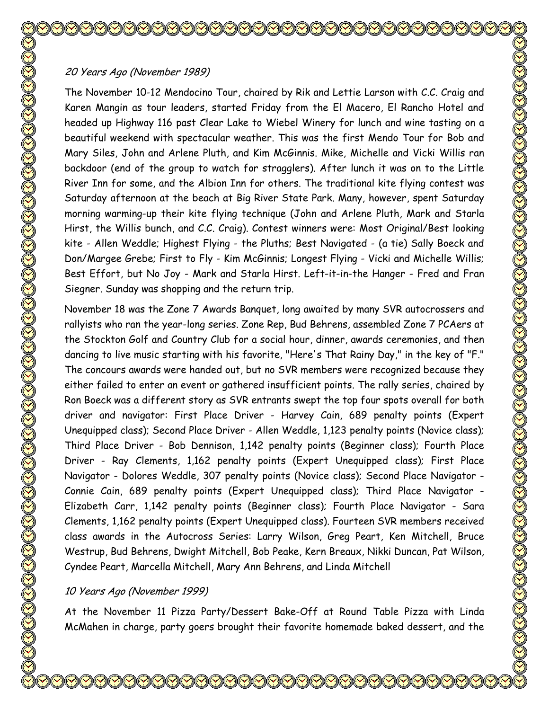# 20 Years Ago (November 1989)

The November 10-12 Mendocino Tour, chaired by Rik and Lettie Larson with C.C. Craig and Karen Mangin as tour leaders, started Friday from the El Macero, El Rancho Hotel and headed up Highway 116 past Clear Lake to Wiebel Winery for lunch and wine tasting on a beautiful weekend with spectacular weather. This was the first Mendo Tour for Bob and Mary Siles, John and Arlene Pluth, and Kim McGinnis. Mike, Michelle and Vicki Willis ran backdoor (end of the group to watch for stragglers). After lunch it was on to the Little River Inn for some, and the Albion Inn for others. The traditional kite flying contest was Saturday afternoon at the beach at Big River State Park. Many, however, spent Saturday morning warming-up their kite flying technique (John and Arlene Pluth, Mark and Starla Hirst, the Willis bunch, and C.C. Craig). Contest winners were: Most Original/Best looking kite - Allen Weddle; Highest Flying - the Pluths; Best Navigated - (a tie) Sally Boeck and Don/Margee Grebe; First to Fly - Kim McGinnis; Longest Flying - Vicki and Michelle Willis; Best Effort, but No Joy - Mark and Starla Hirst. Left-it-in-the Hanger - Fred and Fran Siegner. Sunday was shopping and the return trip.

November 18 was the Zone 7 Awards Banquet, long awaited by many SVR autocrossers and rallyists who ran the year-long series. Zone Rep, Bud Behrens, assembled Zone 7 PCAers at the Stockton Golf and Country Club for a social hour, dinner, awards ceremonies, and then dancing to live music starting with his favorite, "Here's That Rainy Day," in the key of "F." The concours awards were handed out, but no SVR members were recognized because they either failed to enter an event or gathered insufficient points. The rally series, chaired by Ron Boeck was a different story as SVR entrants swept the top four spots overall for both driver and navigator: First Place Driver - Harvey Cain, 689 penalty points (Expert Unequipped class); Second Place Driver - Allen Weddle, 1,123 penalty points (Novice class); Third Place Driver - Bob Dennison, 1,142 penalty points (Beginner class); Fourth Place Driver - Ray Clements, 1,162 penalty points (Expert Unequipped class); First Place Navigator - Dolores Weddle, 307 penalty points (Novice class); Second Place Navigator - Connie Cain, 689 penalty points (Expert Unequipped class); Third Place Navigator - Elizabeth Carr, 1,142 penalty points (Beginner class); Fourth Place Navigator - Sara Clements, 1,162 penalty points (Expert Unequipped class). Fourteen SVR members received class awards in the Autocross Series: Larry Wilson, Greg Peart, Ken Mitchell, Bruce Westrup, Bud Behrens, Dwight Mitchell, Bob Peake, Kern Breaux, Nikki Duncan, Pat Wilson, Cyndee Peart, Marcella Mitchell, Mary Ann Behrens, and Linda Mitchell

# 10 Years Ago (November 1999)

At the November 11 Pizza Party/Dessert Bake-Off at Round Table Pizza with Linda McMahen in charge, party goers brought their favorite homemade baked dessert, and the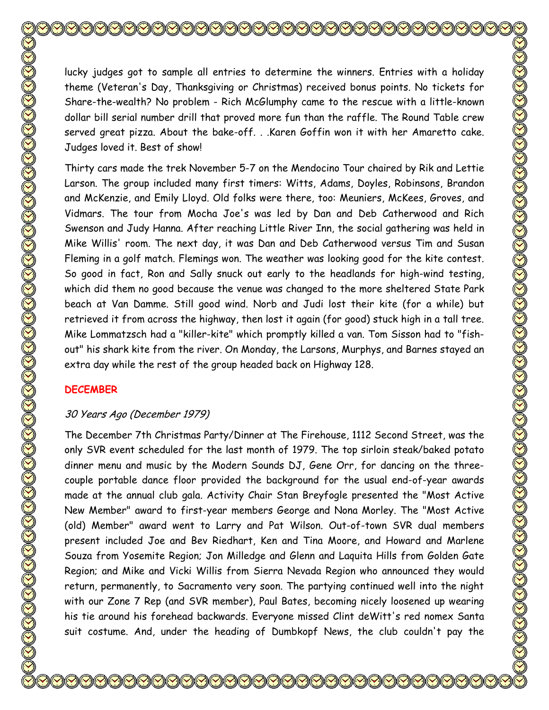lucky judges got to sample all entries to determine the winners. Entries with a holiday theme (Veteran's Day, Thanksgiving or Christmas) received bonus points. No tickets for Share-the-wealth? No problem - Rich McGlumphy came to the rescue with a little-known dollar bill serial number drill that proved more fun than the raffle. The Round Table crew served great pizza. About the bake-off. . .Karen Goffin won it with her Amaretto cake. Judges loved it. Best of show!

Thirty cars made the trek November 5-7 on the Mendocino Tour chaired by Rik and Lettie Larson. The group included many first timers: Witts, Adams, Doyles, Robinsons, Brandon and McKenzie, and Emily Lloyd. Old folks were there, too: Meuniers, McKees, Groves, and Vidmars. The tour from Mocha Joe's was led by Dan and Deb Catherwood and Rich Swenson and Judy Hanna. After reaching Little River Inn, the social gathering was held in Mike Willis' room. The next day, it was Dan and Deb Catherwood versus Tim and Susan Fleming in a golf match. Flemings won. The weather was looking good for the kite contest. So good in fact, Ron and Sally snuck out early to the headlands for high-wind testing, which did them no good because the venue was changed to the more sheltered State Park beach at Van Damme. Still good wind. Norb and Judi lost their kite (for a while) but retrieved it from across the highway, then lost it again (for good) stuck high in a tall tree. Mike Lommatzsch had a "killer-kite" which promptly killed a van. Tom Sisson had to "fishout" his shark kite from the river. On Monday, the Larsons, Murphys, and Barnes stayed an extra day while the rest of the group headed back on Highway 128.

## **DECEMBER**

# 30 Years Ago (December 1979)

The December 7th Christmas Party/Dinner at The Firehouse, 1112 Second Street, was the only SVR event scheduled for the last month of 1979. The top sirloin steak/baked potato dinner menu and music by the Modern Sounds DJ, Gene Orr, for dancing on the threecouple portable dance floor provided the background for the usual end-of-year awards made at the annual club gala. Activity Chair Stan Breyfogle presented the "Most Active New Member" award to first-year members George and Nona Morley. The "Most Active (old) Member" award went to Larry and Pat Wilson. Out-of-town SVR dual members present included Joe and Bev Riedhart, Ken and Tina Moore, and Howard and Marlene Souza from Yosemite Region; Jon Milledge and Glenn and Laquita Hills from Golden Gate Region; and Mike and Vicki Willis from Sierra Nevada Region who announced they would return, permanently, to Sacramento very soon. The partying continued well into the night with our Zone 7 Rep (and SVR member), Paul Bates, becoming nicely loosened up wearing his tie around his forehead backwards. Everyone missed Clint deWitt's red nomex Santa suit costume. And, under the heading of Dumbkopf News, the club couldn't pay the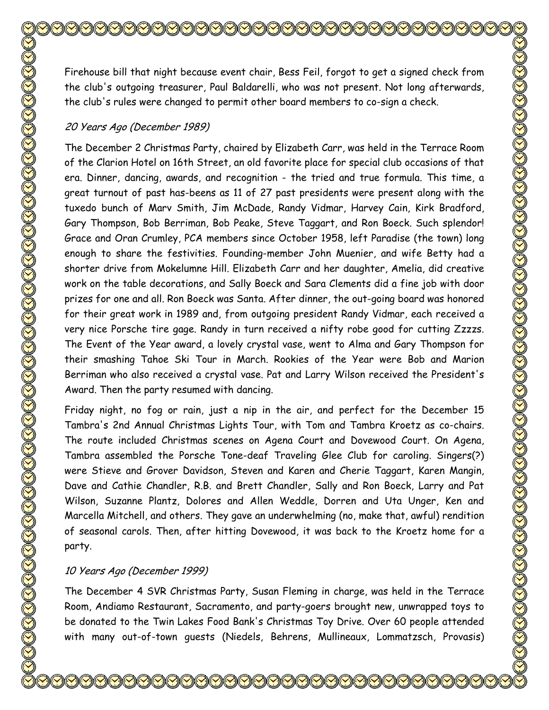Firehouse bill that night because event chair, Bess Feil, forgot to get a signed check from the club's outgoing treasurer, Paul Baldarelli, who was not present. Not long afterwards, the club's rules were changed to permit other board members to co-sign a check.

#### 20 Years Ago (December 1989)

The December 2 Christmas Party, chaired by Elizabeth Carr, was held in the Terrace Room of the Clarion Hotel on 16th Street, an old favorite place for special club occasions of that era. Dinner, dancing, awards, and recognition - the tried and true formula. This time, a great turnout of past has-beens as 11 of 27 past presidents were present along with the tuxedo bunch of Marv Smith, Jim McDade, Randy Vidmar, Harvey Cain, Kirk Bradford, Gary Thompson, Bob Berriman, Bob Peake, Steve Taggart, and Ron Boeck. Such splendor! Grace and Oran Crumley, PCA members since October 1958, left Paradise (the town) long enough to share the festivities. Founding-member John Muenier, and wife Betty had a shorter drive from Mokelumne Hill. Elizabeth Carr and her daughter, Amelia, did creative work on the table decorations, and Sally Boeck and Sara Clements did a fine job with door prizes for one and all. Ron Boeck was Santa. After dinner, the out-going board was honored for their great work in 1989 and, from outgoing president Randy Vidmar, each received a very nice Porsche tire gage. Randy in turn received a nifty robe good for cutting Zzzzs. The Event of the Year award, a lovely crystal vase, went to Alma and Gary Thompson for their smashing Tahoe Ski Tour in March. Rookies of the Year were Bob and Marion Berriman who also received a crystal vase. Pat and Larry Wilson received the President's Award. Then the party resumed with dancing.

Friday night, no fog or rain, just a nip in the air, and perfect for the December 15 Tambra's 2nd Annual Christmas Lights Tour, with Tom and Tambra Kroetz as co-chairs. The route included Christmas scenes on Agena Court and Dovewood Court. On Agena, Tambra assembled the Porsche Tone-deaf Traveling Glee Club for caroling. Singers(?) were Stieve and Grover Davidson, Steven and Karen and Cherie Taggart, Karen Mangin, Dave and Cathie Chandler, R.B. and Brett Chandler, Sally and Ron Boeck, Larry and Pat Wilson, Suzanne Plantz, Dolores and Allen Weddle, Dorren and Uta Unger, Ken and Marcella Mitchell, and others. They gave an underwhelming (no, make that, awful) rendition of seasonal carols. Then, after hitting Dovewood, it was back to the Kroetz home for a party.

#### 10 Years Ago (December 1999)

The December 4 SVR Christmas Party, Susan Fleming in charge, was held in the Terrace Room, Andiamo Restaurant, Sacramento, and party-goers brought new, unwrapped toys to be donated to the Twin Lakes Food Bank's Christmas Toy Drive. Over 60 people attended with many out-of-town guests (Niedels, Behrens, Mullineaux, Lommatzsch, Provasis)